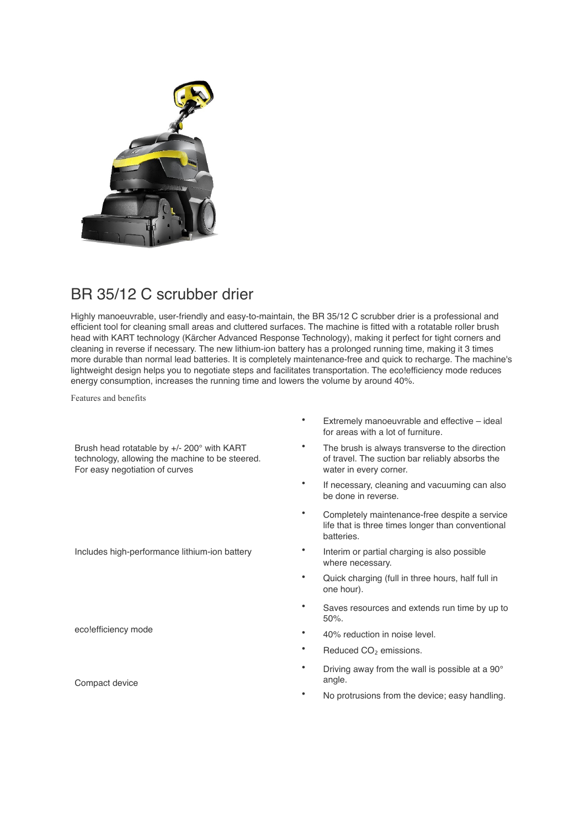

## BR 35/12 C scrubber drier

Highly manoeuvrable, user-friendly and easy-to-maintain, the BR 35/12 C scrubber drier is a professional and efficient tool for cleaning small areas and cluttered surfaces. The machine is fitted with a rotatable roller brush head with KART technology (Kärcher Advanced Response Technology), making it perfect for tight corners and cleaning in reverse if necessary. The new lithium-ion battery has a prolonged running time, making it 3 times more durable than normal lead batteries. It is completely maintenance-free and quick to recharge. The machine's lightweight design helps you to negotiate steps and facilitates transportation. The eco!efficiency mode reduces energy consumption, increases the running time and lowers the volume by around 40%.

Features and benefits

Brush head rotatable by +/- 200° with KART technology, allowing the machine to be steered. For easy negotiation of curves

Includes high-performance lithium-ion battery

eco!efficiency mode

Compact device

- Extremely manoeuvrable and effective ideal for areas with a lot of furniture.
- The brush is always transverse to the direction of travel. The suction bar reliably absorbs the water in every corner.
- If necessary, cleaning and vacuuming can also be done in reverse.
- Completely maintenance-free despite a service life that is three times longer than conventional batteries.
- Interim or partial charging is also possible where necessary.
- Quick charging (full in three hours, half full in one hour).
- Saves resources and extends run time by up to 50%.
- 40% reduction in noise level.
- Reduced CO<sub>2</sub> emissions.
- Driving away from the wall is possible at a 90° angle.
- No protrusions from the device; easy handling.